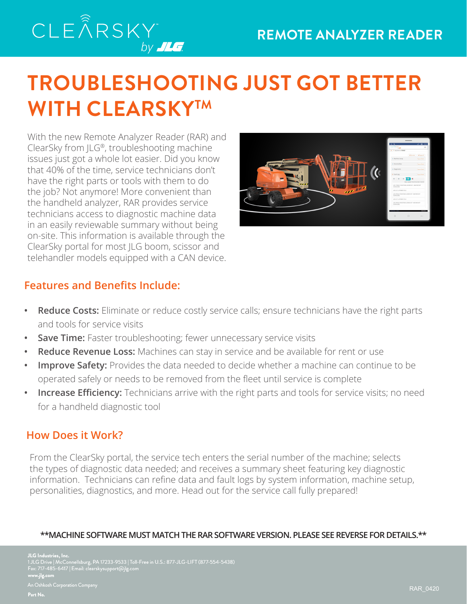## CLEÂRSKY by **JLG**

# **TROUBLESHOOTING JUST GOT BETTER WITH CLEARSKYTM**

With the new Remote Analyzer Reader (RAR) and ClearSky from JLG®, troubleshooting machine issues just got a whole lot easier. Did you know that 40% of the time, service technicians don't have the right parts or tools with them to do the job? Not anymore! More convenient than the handheld analyzer, RAR provides service technicians access to diagnostic machine data in an easily reviewable summary without being on-site. This information is available through the ClearSky portal for most JLG boom, scissor and telehandler models equipped with a CAN device.



### **Features and Benefits Include:**

- **• Reduce Costs:** Eliminate or reduce costly service calls; ensure technicians have the right parts and tools for service visits
- **Save Time:** Faster troubleshooting; fewer unnecessary service visits
- **• Reduce Revenue Loss:** Machines can stay in service and be available for rent or use
- **Improve Safety:** Provides the data needed to decide whether a machine can continue to be operated safely or needs to be removed from the fleet until service is complete
- **Increase Efficiency:** Technicians arrive with the right parts and tools for service visits; no need for a handheld diagnostic tool

#### **How Does it Work?**

From the ClearSky portal, the service tech enters the serial number of the machine; selects the types of diagnostic data needed; and receives a summary sheet featuring key diagnostic information. Technicians can refine data and fault logs by system information, machine setup, personalities, diagnostics, and more. Head out for the service call fully prepared!

#### **\*\*MACHINE SOFTWARE MUST MATCH THE RAR SOFTWARE VERSION. PLEASE SEE REVERSE FOR DETAILS.\*\***

**JLG Industries, Inc.** 1 JLG Drive | McConnellsburg, PA 17233-9533 | Toll-Free in U.S.: 877-JLG-LIFT (877-554-5438) Fax: 717-485-6417 | Email: clearskysupport@jlg.com **www.jlg.com** n Oshkosh Corporation Company